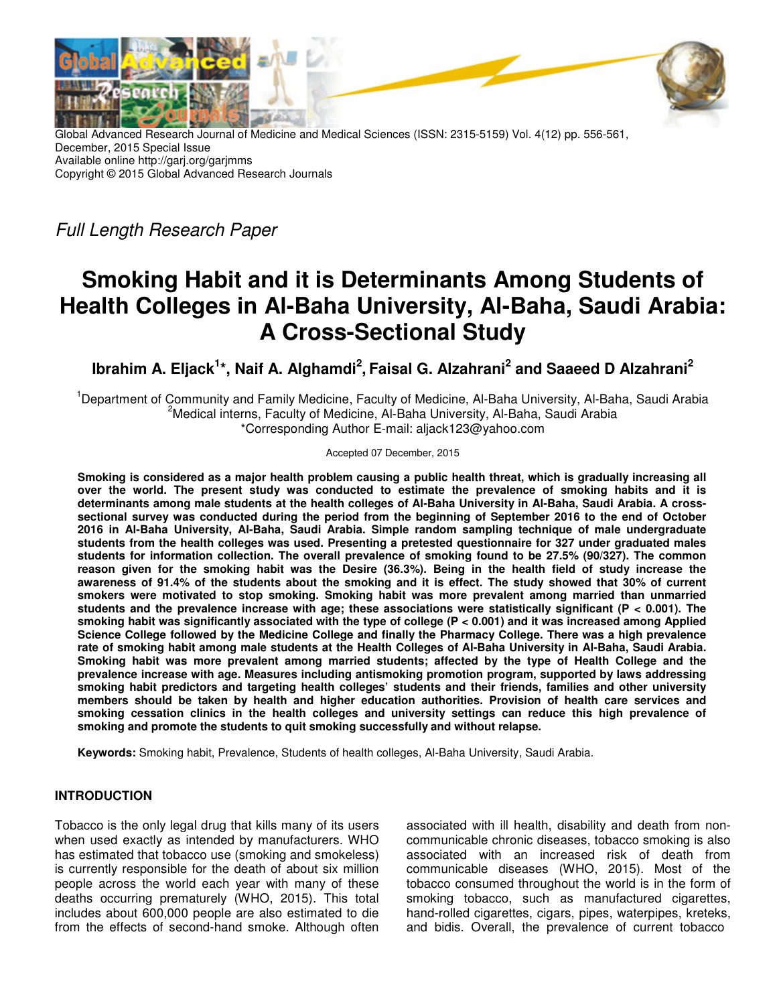

Global Advanced Research Journal of Medicine and Medical Sciences (ISSN: 2315-5159) Vol. 4(12) pp. 556-561, December, 2015 Special Issue Available online http://garj.org/garjmms Copyright © 2015 Global Advanced Research Journals

Full Length Research Paper

# **Smoking Habit and it is Determinants Among Students of Health Colleges in Al-Baha University, Al-Baha, Saudi Arabia: A Cross-Sectional Study**

**Ibrahim A. Eljack<sup>1</sup> \*, Naif A. Alghamdi<sup>2</sup> , Faisal G. Alzahrani<sup>2</sup> and Saaeed D Alzahrani<sup>2</sup>**

<sup>1</sup>Department of Community and Family Medicine, Faculty of Medicine, Al-Baha University, Al-Baha, Saudi Arabia <sup>2</sup>Medical interns, Faculty of Medicine, Al-Baha University, Al-Baha, Saudi Arabia \*Corresponding Author E-mail: aljack123@yahoo.com

Accepted 07 December, 2015

**Smoking is considered as a major health problem causing a public health threat, which is gradually increasing all over the world. The present study was conducted to estimate the prevalence of smoking habits and it is determinants among male students at the health colleges of Al-Baha University in Al-Baha, Saudi Arabia. A crosssectional survey was conducted during the period from the beginning of September 2016 to the end of October 2016 in Al-Baha University, Al-Baha, Saudi Arabia. Simple random sampling technique of male undergraduate students from the health colleges was used. Presenting a pretested questionnaire for 327 under graduated males students for information collection. The overall prevalence of smoking found to be 27.5% (90/327). The common reason given for the smoking habit was the Desire (36.3%). Being in the health field of study increase the awareness of 91.4% of the students about the smoking and it is effect. The study showed that 30% of current smokers were motivated to stop smoking. Smoking habit was more prevalent among married than unmarried students and the prevalence increase with age; these associations were statistically significant (P < 0.001). The smoking habit was significantly associated with the type of college (P < 0.001) and it was increased among Applied Science College followed by the Medicine College and finally the Pharmacy College. There was a high prevalence rate of smoking habit among male students at the Health Colleges of Al-Baha University in Al-Baha, Saudi Arabia. Smoking habit was more prevalent among married students; affected by the type of Health College and the prevalence increase with age. Measures including antismoking promotion program, supported by laws addressing smoking habit predictors and targeting health colleges' students and their friends, families and other university members should be taken by health and higher education authorities. Provision of health care services and smoking cessation clinics in the health colleges and university settings can reduce this high prevalence of smoking and promote the students to quit smoking successfully and without relapse.** 

**Keywords:** Smoking habit, Prevalence, Students of health colleges, Al-Baha University, Saudi Arabia.

# **INTRODUCTION**

Tobacco is the only legal drug that kills many of its users when used exactly as intended by manufacturers. WHO has estimated that tobacco use (smoking and smokeless) is currently responsible for the death of about six million people across the world each year with many of these deaths occurring prematurely (WHO, 2015). This total includes about 600,000 people are also estimated to die from the effects of second-hand smoke. Although often

associated with ill health, disability and death from noncommunicable chronic diseases, tobacco smoking is also associated with an increased risk of death from communicable diseases (WHO, 2015). Most of the tobacco consumed throughout the world is in the form of smoking tobacco, such as manufactured cigarettes, hand-rolled cigarettes, cigars, pipes, waterpipes, kreteks, and bidis. Overall, the prevalence of current tobacco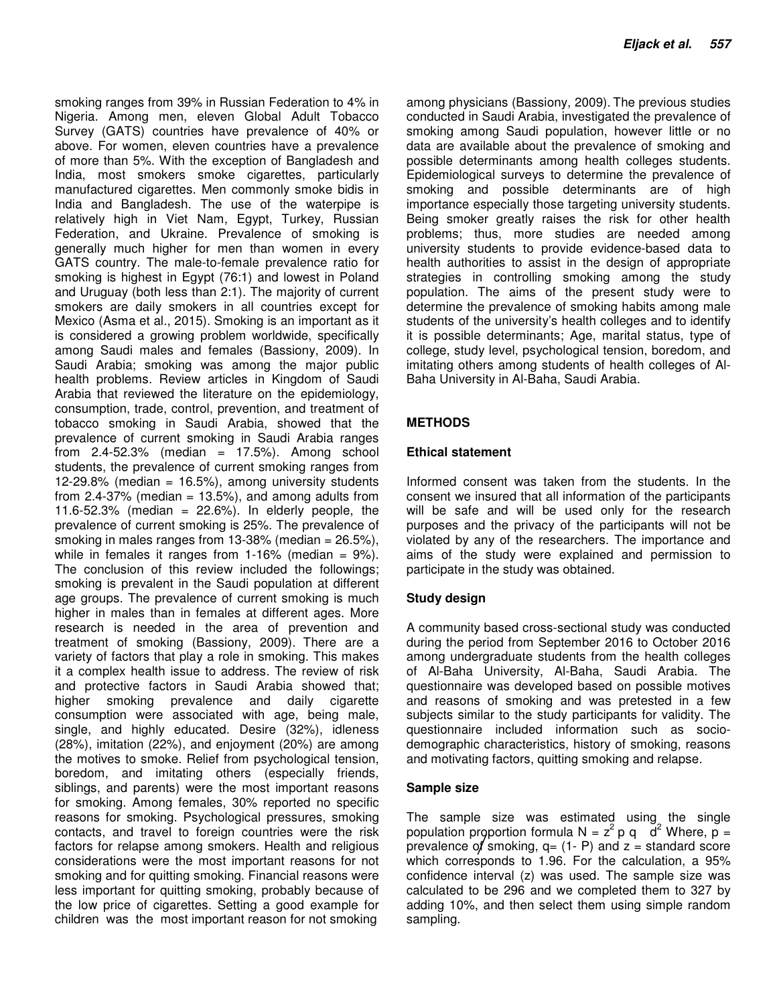smoking ranges from 39% in Russian Federation to 4% in Nigeria. Among men, eleven Global Adult Tobacco Survey (GATS) countries have prevalence of 40% or above. For women, eleven countries have a prevalence of more than 5%. With the exception of Bangladesh and India, most smokers smoke cigarettes, particularly manufactured cigarettes. Men commonly smoke bidis in India and Bangladesh. The use of the waterpipe is relatively high in Viet Nam, Egypt, Turkey, Russian Federation, and Ukraine. Prevalence of smoking is generally much higher for men than women in every GATS country. The male-to-female prevalence ratio for smoking is highest in Egypt (76:1) and lowest in Poland and Uruguay (both less than 2:1). The majority of current smokers are daily smokers in all countries except for Mexico (Asma et al., 2015). Smoking is an important as it is considered a growing problem worldwide, specifically among Saudi males and females (Bassiony, 2009). In Saudi Arabia; smoking was among the major public health problems. Review articles in Kingdom of Saudi Arabia that reviewed the literature on the epidemiology, consumption, trade, control, prevention, and treatment of tobacco smoking in Saudi Arabia, showed that the prevalence of current smoking in Saudi Arabia ranges from  $2.4 - 52.3\%$  (median = 17.5%). Among school students, the prevalence of current smoking ranges from 12-29.8% (median =  $16.5\%$ ), among university students from 2.4-37% (median  $= 13.5\%$ ), and among adults from 11.6-52.3% (median =  $22.6%$ ). In elderly people, the prevalence of current smoking is 25%. The prevalence of smoking in males ranges from 13-38% (median = 26.5%), while in females it ranges from  $1-16%$  (median = 9%). The conclusion of this review included the followings; smoking is prevalent in the Saudi population at different age groups. The prevalence of current smoking is much higher in males than in females at different ages. More research is needed in the area of prevention and treatment of smoking (Bassiony, 2009). There are a variety of factors that play a role in smoking. This makes it a complex health issue to address. The review of risk and protective factors in Saudi Arabia showed that; higher smoking prevalence and daily cigarette consumption were associated with age, being male, single, and highly educated. Desire (32%), idleness (28%), imitation (22%), and enjoyment (20%) are among the motives to smoke. Relief from psychological tension, boredom, and imitating others (especially friends, siblings, and parents) were the most important reasons for smoking. Among females, 30% reported no specific reasons for smoking. Psychological pressures, smoking contacts, and travel to foreign countries were the risk factors for relapse among smokers. Health and religious considerations were the most important reasons for not smoking and for quitting smoking. Financial reasons were less important for quitting smoking, probably because of the low price of cigarettes. Setting a good example for children was the most important reason for not smoking

among physicians (Bassiony, 2009). The previous studies conducted in Saudi Arabia, investigated the prevalence of smoking among Saudi population, however little or no data are available about the prevalence of smoking and possible determinants among health colleges students. Epidemiological surveys to determine the prevalence of smoking and possible determinants are of high importance especially those targeting university students. Being smoker greatly raises the risk for other health problems; thus, more studies are needed among university students to provide evidence-based data to health authorities to assist in the design of appropriate strategies in controlling smoking among the study population. The aims of the present study were to determine the prevalence of smoking habits among male students of the university's health colleges and to identify it is possible determinants; Age, marital status, type of college, study level, psychological tension, boredom, and imitating others among students of health colleges of Al-Baha University in Al-Baha, Saudi Arabia.

# **METHODS**

#### **Ethical statement**

Informed consent was taken from the students. In the consent we insured that all information of the participants will be safe and will be used only for the research purposes and the privacy of the participants will not be violated by any of the researchers. The importance and aims of the study were explained and permission to participate in the study was obtained.

# **Study design**

A community based cross-sectional study was conducted during the period from September 2016 to October 2016 among undergraduate students from the health colleges of Al-Baha University, Al-Baha, Saudi Arabia. The questionnaire was developed based on possible motives and reasons of smoking and was pretested in a few subjects similar to the study participants for validity. The questionnaire included information such as sociodemographic characteristics, history of smoking, reasons and motivating factors, quitting smoking and relapse.

#### **Sample size**

The sample size was estimated using the single population proportion formula N =  $z^2 p q d^2$  Where,  $p =$ prevalence of smoking,  $q = (1 - P)$  and  $z =$  standard score which corresponds to 1.96. For the calculation, a 95% confidence interval (z) was used. The sample size was calculated to be 296 and we completed them to 327 by adding 10%, and then select them using simple random sampling.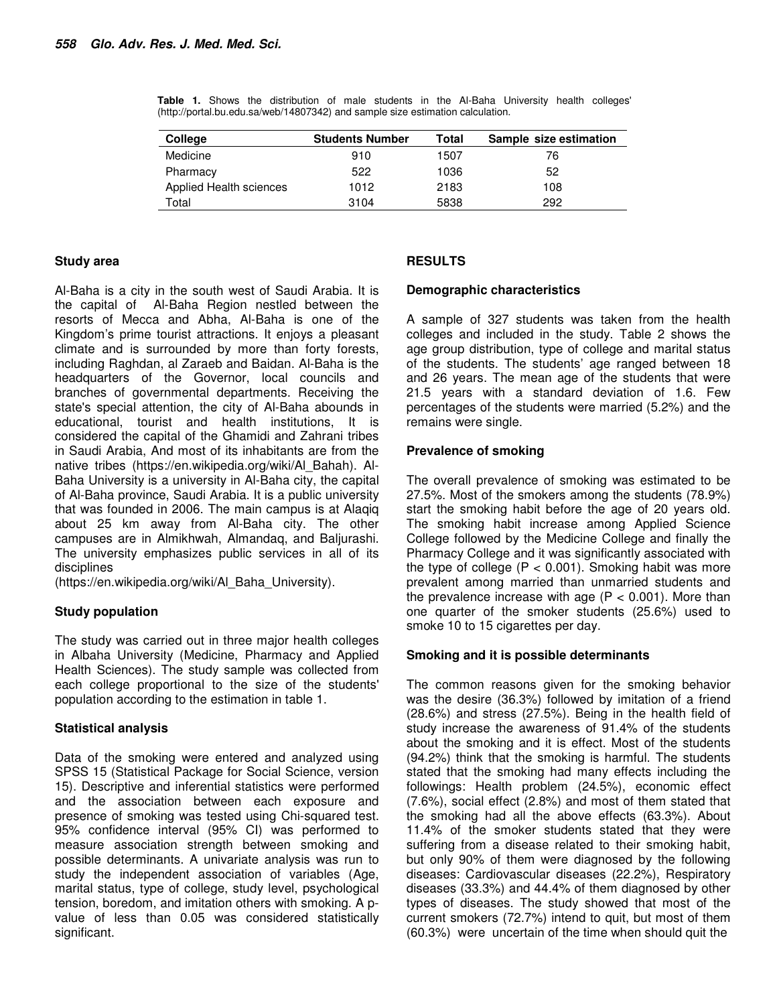**Table 1.** Shows the distribution of male students in the Al-Baha University health colleges' (http://portal.bu.edu.sa/web/14807342) and sample size estimation calculation.

| College                 | <b>Students Number</b> | Total | Sample size estimation |
|-------------------------|------------------------|-------|------------------------|
| Medicine                | 910                    | 1507  | 76                     |
| Pharmacy                | 522                    | 1036  | 52                     |
| Applied Health sciences | 1012                   | 2183  | 108                    |
| Total                   | 3104                   | 5838  | 292                    |

#### **Study area**

**RESULTS** 

Al-Baha is a city in the south west of Saudi Arabia. It is the capital of Al-Baha Region nestled between the resorts of Mecca and Abha, Al-Baha is one of the Kingdom's prime tourist attractions. It enjoys a pleasant climate and is surrounded by more than forty forests, including Raghdan, al Zaraeb and Baidan. Al-Baha is the headquarters of the Governor, local councils and branches of governmental departments. Receiving the state's special attention, the city of Al-Baha abounds in educational, tourist and health institutions, It is considered the capital of the Ghamidi and Zahrani tribes in Saudi Arabia, And most of its inhabitants are from the native tribes (https://en.wikipedia.org/wiki/Al\_Bahah). Al-Baha University is a university in Al-Baha city, the capital of Al-Baha province, Saudi Arabia. It is a public university that was founded in 2006. The main campus is at Alaqiq about 25 km away from Al-Baha city. The other campuses are in Almikhwah, Almandaq, and Baljurashi. The university emphasizes public services in all of its disciplines

(https://en.wikipedia.org/wiki/Al\_Baha\_University).

# **Study population**

The study was carried out in three major health colleges in Albaha University (Medicine, Pharmacy and Applied Health Sciences). The study sample was collected from each college proportional to the size of the students' population according to the estimation in table 1.

# **Statistical analysis**

Data of the smoking were entered and analyzed using SPSS 15 (Statistical Package for Social Science, version 15). Descriptive and inferential statistics were performed and the association between each exposure and presence of smoking was tested using Chi-squared test. 95% confidence interval (95% CI) was performed to measure association strength between smoking and possible determinants. A univariate analysis was run to study the independent association of variables (Age, marital status, type of college, study level, psychological tension, boredom, and imitation others with smoking. A pvalue of less than 0.05 was considered statistically significant.

# **Demographic characteristics**

A sample of 327 students was taken from the health colleges and included in the study. Table 2 shows the age group distribution, type of college and marital status of the students. The students' age ranged between 18 and 26 years. The mean age of the students that were 21.5 years with a standard deviation of 1.6. Few percentages of the students were married (5.2%) and the remains were single.

# **Prevalence of smoking**

The overall prevalence of smoking was estimated to be 27.5%. Most of the smokers among the students (78.9%) start the smoking habit before the age of 20 years old. The smoking habit increase among Applied Science College followed by the Medicine College and finally the Pharmacy College and it was significantly associated with the type of college  $(P < 0.001)$ . Smoking habit was more prevalent among married than unmarried students and the prevalence increase with age  $(P < 0.001)$ . More than one quarter of the smoker students (25.6%) used to smoke 10 to 15 cigarettes per day.

#### **Smoking and it is possible determinants**

The common reasons given for the smoking behavior was the desire (36.3%) followed by imitation of a friend (28.6%) and stress (27.5%). Being in the health field of study increase the awareness of 91.4% of the students about the smoking and it is effect. Most of the students (94.2%) think that the smoking is harmful. The students stated that the smoking had many effects including the followings: Health problem (24.5%), economic effect (7.6%), social effect (2.8%) and most of them stated that the smoking had all the above effects (63.3%). About 11.4% of the smoker students stated that they were suffering from a disease related to their smoking habit, but only 90% of them were diagnosed by the following diseases: Cardiovascular diseases (22.2%), Respiratory diseases (33.3%) and 44.4% of them diagnosed by other types of diseases. The study showed that most of the current smokers (72.7%) intend to quit, but most of them (60.3%) were uncertain of the time when should quit the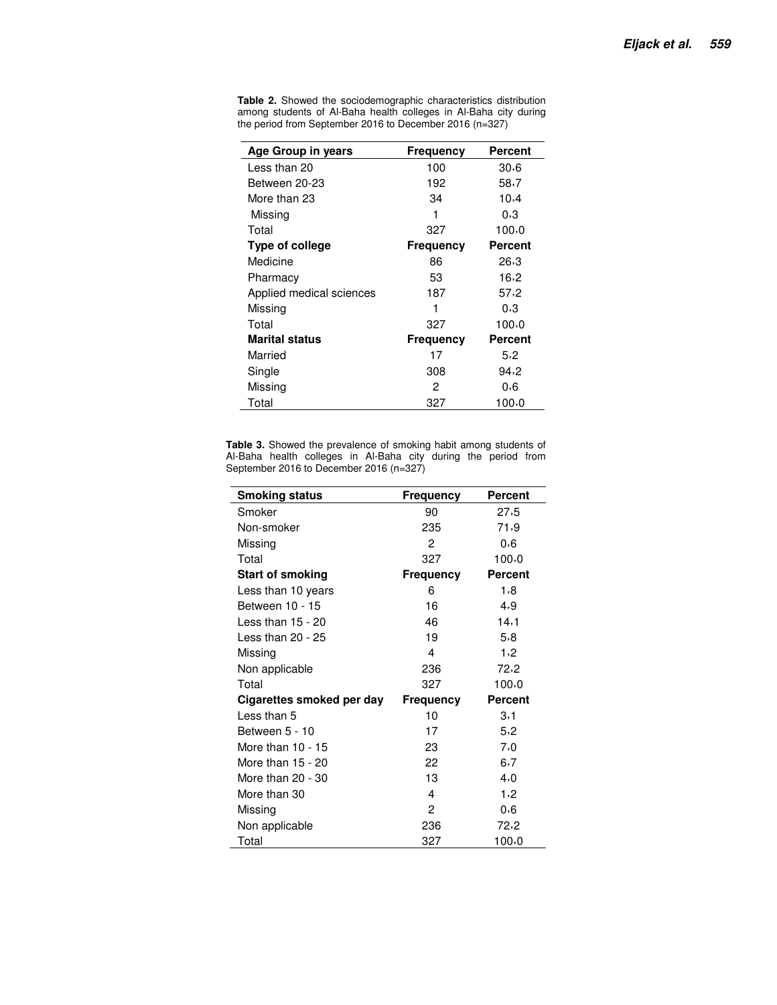| Age Group in years       | Frequency | <b>Percent</b> |
|--------------------------|-----------|----------------|
| Less than 20             | 100       | 30.6           |
| Between 20-23            | 192       | 58,7           |
| More than 23             | 34        | 10,4           |
| Missing                  | 1         | 0,3            |
| Total                    | 327       | 100,0          |
| Type of college          | Frequency | <b>Percent</b> |
| Medicine                 | 86        | 26,3           |
| Pharmacy                 | 53        | 16,2           |
| Applied medical sciences | 187       | 57,2           |
| Missina                  | 1         | 0,3            |
| Total                    | 327       | 100,0          |
| <b>Marital status</b>    | Frequency | <b>Percent</b> |
| Married                  | 17        | 5,2            |
| Single                   | 308       | 94,2           |
| Missing                  | 2         | 0,6            |
| Total                    | 327       | 100,0          |

**Table 2.** Showed the sociodemographic characteristics distribution among students of Al-Baha health colleges in Al-Baha city during the period from September 2016 to December 2016 (n=327)

**Table 3.** Showed the prevalence of smoking habit among students of Al-Baha health colleges in Al-Baha city during the period from September 2016 to December 2016 (n=327)

| <b>Smoking status</b>     | <b>Frequency</b> | <b>Percent</b> |
|---------------------------|------------------|----------------|
| Smoker                    | 90               | 27,5           |
| Non-smoker                | 235              | 71,9           |
| Missing                   | 2                | 0,6            |
| Total                     | 327              | 100.0          |
| <b>Start of smoking</b>   | <b>Frequency</b> | <b>Percent</b> |
| Less than 10 years        | 6                | 1,8            |
| Between 10 - 15           | 16               | 4,9            |
| Less than $15 - 20$       | 46               | 14,1           |
| Less than 20 - 25         | 19               | 5,8            |
| Missing                   | 4                | 1,2            |
| Non applicable            | 236              | 72,2           |
| Total                     | 327              | 100,0          |
| Cigarettes smoked per day | Frequency        | <b>Percent</b> |
| Less than 5               | 10               | 3,1            |
| Between 5 - 10            | 17               | 5.2            |
| More than $10 - 15$       | 23               | 7,0            |
| More than 15 - 20         | 22               | 6,7            |
| More than 20 - 30         | 13               | 4,0            |
| More than 30              | 4                | 1,2            |
| Missing                   | 2                | 0,6            |
| Non applicable            | 236              | 72,2           |
| Total                     | 327              | 100.0          |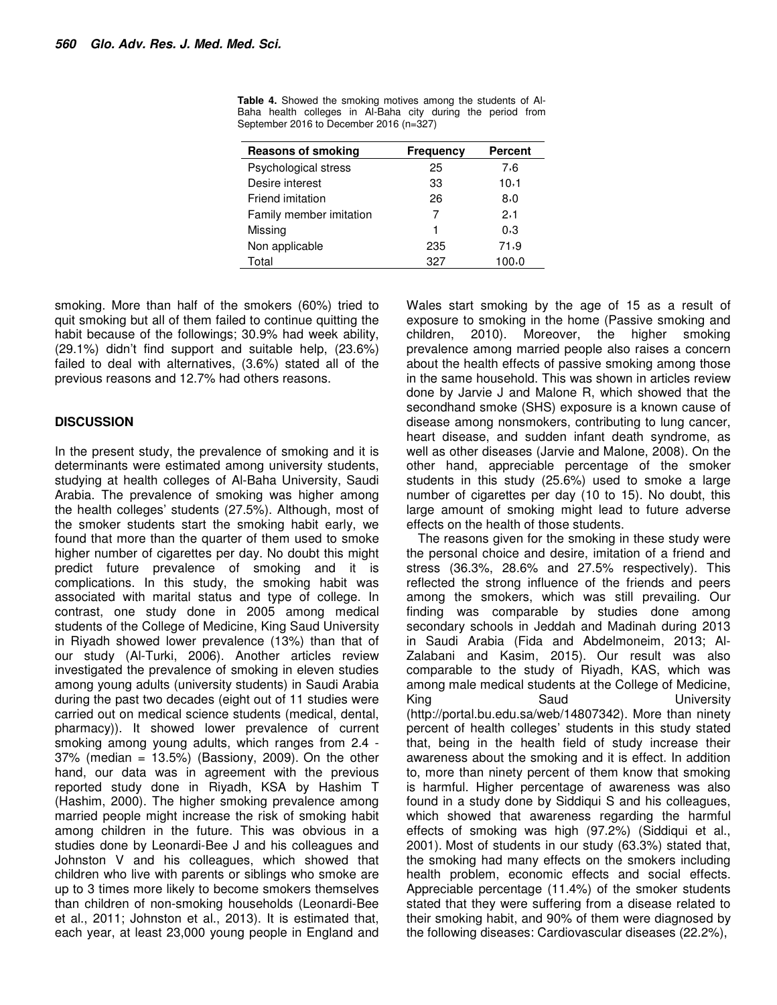| <b>Reasons of smoking</b> | <b>Frequency</b> | <b>Percent</b> |
|---------------------------|------------------|----------------|
| Psychological stress      | 25               | 7.6            |
| Desire interest           | 33               | 10,1           |
| Friend imitation          | 26               | 8,0            |
| Family member imitation   | 7                | 2,1            |
| Missing                   | 1                | 0,3            |
| Non applicable            | 235              | 71,9           |
| Total                     | 327              | 100,0          |

**Table 4.** Showed the smoking motives among the students of Al-Baha health colleges in Al-Baha city during the period from September 2016 to December 2016 (n=327)

smoking. More than half of the smokers (60%) tried to quit smoking but all of them failed to continue quitting the habit because of the followings; 30.9% had week ability, (29.1%) didn't find support and suitable help, (23.6%) failed to deal with alternatives, (3.6%) stated all of the previous reasons and 12.7% had others reasons.

#### **DISCUSSION**

In the present study, the prevalence of smoking and it is determinants were estimated among university students, studying at health colleges of Al-Baha University, Saudi Arabia. The prevalence of smoking was higher among the health colleges' students (27.5%). Although, most of the smoker students start the smoking habit early, we found that more than the quarter of them used to smoke higher number of cigarettes per day. No doubt this might predict future prevalence of smoking and it is complications. In this study, the smoking habit was associated with marital status and type of college. In contrast, one study done in 2005 among medical students of the College of Medicine, King Saud University in Riyadh showed lower prevalence (13%) than that of our study (Al-Turki, 2006). Another articles review investigated the prevalence of smoking in eleven studies among young adults (university students) in Saudi Arabia during the past two decades (eight out of 11 studies were carried out on medical science students (medical, dental, pharmacy)). It showed lower prevalence of current smoking among young adults, which ranges from 2.4 - 37% (median = 13.5%) (Bassiony, 2009). On the other hand, our data was in agreement with the previous reported study done in Riyadh, KSA by Hashim T (Hashim, 2000). The higher smoking prevalence among married people might increase the risk of smoking habit among children in the future. This was obvious in a studies done by Leonardi-Bee J and his colleagues and Johnston V and his colleagues, which showed that children who live with parents or siblings who smoke are up to 3 times more likely to become smokers themselves than children of non-smoking households (Leonardi-Bee et al., 2011; Johnston et al., 2013). It is estimated that, each year, at least 23,000 young people in England and Wales start smoking by the age of 15 as a result of exposure to smoking in the home (Passive smoking and children, 2010). Moreover, the higher smoking prevalence among married people also raises a concern about the health effects of passive smoking among those in the same household. This was shown in articles review done by Jarvie J and Malone R, which showed that the secondhand smoke (SHS) exposure is a known cause of disease among nonsmokers, contributing to lung cancer, heart disease, and sudden infant death syndrome, as well as other diseases (Jarvie and Malone, 2008). On the other hand, appreciable percentage of the smoker students in this study (25.6%) used to smoke a large number of cigarettes per day (10 to 15). No doubt, this large amount of smoking might lead to future adverse effects on the health of those students.

The reasons given for the smoking in these study were the personal choice and desire, imitation of a friend and stress (36.3%, 28.6% and 27.5% respectively). This reflected the strong influence of the friends and peers among the smokers, which was still prevailing. Our finding was comparable by studies done among secondary schools in Jeddah and Madinah during 2013 in Saudi Arabia (Fida and Abdelmoneim, 2013; Al-Zalabani and Kasim, 2015). Our result was also comparable to the study of Riyadh, KAS, which was among male medical students at the College of Medicine, King Saud University (http://portal.bu.edu.sa/web/14807342). More than ninety percent of health colleges' students in this study stated that, being in the health field of study increase their awareness about the smoking and it is effect. In addition to, more than ninety percent of them know that smoking is harmful. Higher percentage of awareness was also found in a study done by Siddiqui S and his colleagues, which showed that awareness regarding the harmful effects of smoking was high (97.2%) (Siddiqui et al., 2001). Most of students in our study (63.3%) stated that, the smoking had many effects on the smokers including health problem, economic effects and social effects. Appreciable percentage (11.4%) of the smoker students stated that they were suffering from a disease related to their smoking habit, and 90% of them were diagnosed by the following diseases: Cardiovascular diseases (22.2%),